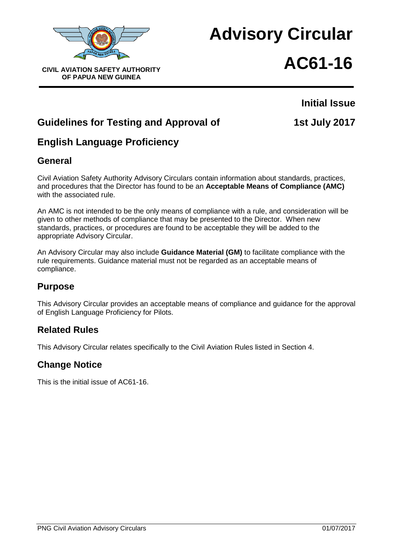

# **Advisory Circular**

# CIVIL AVIATION SAFETY AUTHORITY

**OF PAPUA NEW GUINEA**

**Initial Issue**

# **Guidelines for Testing and Approval of 1st July 2017**

# **English Language Proficiency**

## **General**

Civil Aviation Safety Authority Advisory Circulars contain information about standards, practices, and procedures that the Director has found to be an **Acceptable Means of Compliance (AMC)**  with the associated rule.

An AMC is not intended to be the only means of compliance with a rule, and consideration will be given to other methods of compliance that may be presented to the Director. When new standards, practices, or procedures are found to be acceptable they will be added to the appropriate Advisory Circular.

An Advisory Circular may also include **Guidance Material (GM)** to facilitate compliance with the rule requirements. Guidance material must not be regarded as an acceptable means of compliance.

## **Purpose**

This Advisory Circular provides an acceptable means of compliance and guidance for the approval of English Language Proficiency for Pilots.

## **Related Rules**

This Advisory Circular relates specifically to the Civil Aviation Rules listed in Section 4.

## **Change Notice**

This is the initial issue of AC61-16.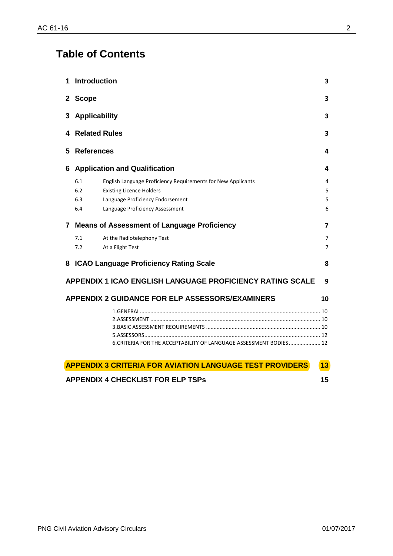# **Table of Contents**

| 1                                                            | Introduction                                                        |    |  |  |  |  |  |  |
|--------------------------------------------------------------|---------------------------------------------------------------------|----|--|--|--|--|--|--|
|                                                              | 2 Scope                                                             |    |  |  |  |  |  |  |
|                                                              | 3 Applicability                                                     |    |  |  |  |  |  |  |
| 4                                                            | <b>Related Rules</b>                                                |    |  |  |  |  |  |  |
| 5                                                            | <b>References</b>                                                   |    |  |  |  |  |  |  |
| 6                                                            | <b>Application and Qualification</b>                                | 4  |  |  |  |  |  |  |
|                                                              | 6.1<br>English Language Proficiency Requirements for New Applicants | 4  |  |  |  |  |  |  |
|                                                              | 6.2<br><b>Existing Licence Holders</b>                              | 5  |  |  |  |  |  |  |
|                                                              | 6.3<br>Language Proficiency Endorsement                             | 5  |  |  |  |  |  |  |
|                                                              | 6.4<br>Language Proficiency Assessment                              | 6  |  |  |  |  |  |  |
| <b>Means of Assessment of Language Proficiency</b><br>7      |                                                                     |    |  |  |  |  |  |  |
|                                                              | 7.1<br>At the Radiotelephony Test                                   | 7  |  |  |  |  |  |  |
|                                                              | 7.2<br>At a Flight Test                                             | 7  |  |  |  |  |  |  |
|                                                              | 8 ICAO Language Proficiency Rating Scale                            |    |  |  |  |  |  |  |
|                                                              | <b>APPENDIX 1 ICAO ENGLISH LANGUAGE PROFICIENCY RATING SCALE</b>    | 9  |  |  |  |  |  |  |
| <b>APPENDIX 2 GUIDANCE FOR ELP ASSESSORS/EXAMINERS</b><br>10 |                                                                     |    |  |  |  |  |  |  |
|                                                              |                                                                     |    |  |  |  |  |  |  |
|                                                              |                                                                     |    |  |  |  |  |  |  |
|                                                              |                                                                     |    |  |  |  |  |  |  |
|                                                              | 6. CRITERIA FOR THE ACCEPTABILITY OF LANGUAGE ASSESSMENT BODIES 12  |    |  |  |  |  |  |  |
|                                                              |                                                                     |    |  |  |  |  |  |  |
|                                                              | <b>APPENDIX 3 CRITERIA FOR AVIATION LANGUAGE TEST PROVIDERS</b>     | 13 |  |  |  |  |  |  |
|                                                              |                                                                     |    |  |  |  |  |  |  |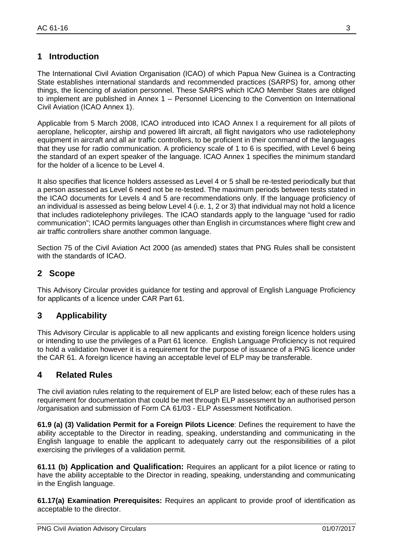## <span id="page-2-0"></span>**1 Introduction**

The International Civil Aviation Organisation (ICAO) of which Papua New Guinea is a Contracting State establishes international standards and recommended practices (SARPS) for, among other things, the licencing of aviation personnel. These SARPS which ICAO Member States are obliged to implement are published in Annex 1 – Personnel Licencing to the Convention on International Civil Aviation (ICAO Annex 1).

Applicable from 5 March 2008, ICAO introduced into ICAO Annex I a requirement for all pilots of aeroplane, helicopter, airship and powered lift aircraft, all flight navigators who use radiotelephony equipment in aircraft and all air traffic controllers, to be proficient in their command of the languages that they use for radio communication. A proficiency scale of 1 to 6 is specified, with Level 6 being the standard of an expert speaker of the language. ICAO Annex 1 specifies the minimum standard for the holder of a licence to be Level 4.

It also specifies that licence holders assessed as Level 4 or 5 shall be re-tested periodically but that a person assessed as Level 6 need not be re-tested. The maximum periods between tests stated in the ICAO documents for Levels 4 and 5 are recommendations only. If the language proficiency of an individual is assessed as being below Level 4 (i.e. 1, 2 or 3) that individual may not hold a licence that includes radiotelephony privileges. The ICAO standards apply to the language "used for radio communication"; ICAO permits languages other than English in circumstances where flight crew and air traffic controllers share another common language.

Section 75 of the Civil Aviation Act 2000 (as amended) states that PNG Rules shall be consistent with the standards of ICAO.

## <span id="page-2-1"></span>**2 Scope**

This Advisory Circular provides guidance for testing and approval of English Language Proficiency for applicants of a licence under CAR Part 61.

## <span id="page-2-2"></span>**3 Applicability**

This Advisory Circular is applicable to all new applicants and existing foreign licence holders using or intending to use the privileges of a Part 61 licence. English Language Proficiency is not required to hold a validation however it is a requirement for the purpose of issuance of a PNG licence under the CAR 61. A foreign licence having an acceptable level of ELP may be transferable.

## <span id="page-2-3"></span>**4 Related Rules**

The civil aviation rules relating to the requirement of ELP are listed below; each of these rules has a requirement for documentation that could be met through ELP assessment by an authorised person /organisation and submission of Form CA 61/03 - ELP Assessment Notification.

**61.9 (a) (3) Validation Permit for a Foreign Pilots Licence**: Defines the requirement to have the ability acceptable to the Director in reading, speaking, understanding and communicating in the English language to enable the applicant to adequately carry out the responsibilities of a pilot exercising the privileges of a validation permit.

**61.11 (b) Application and Qualification:** Requires an applicant for a pilot licence or rating to have the ability acceptable to the Director in reading, speaking, understanding and communicating in the English language.

**61.17(a) Examination Prerequisites:** Requires an applicant to provide proof of identification as acceptable to the director.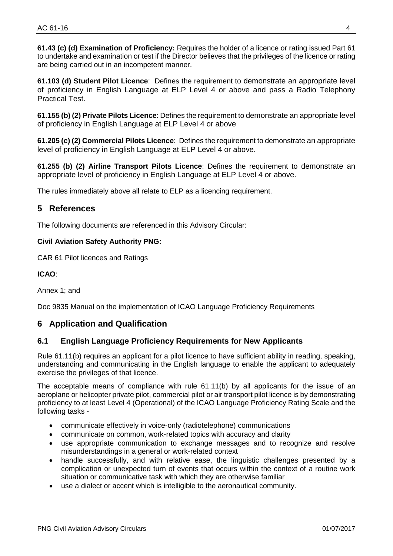**61.43 (c) (d) Examination of Proficiency:** Requires the holder of a licence or rating issued Part 61 to undertake and examination or test if the Director believes that the privileges of the licence or rating are being carried out in an incompetent manner.

**61.103 (d) Student Pilot Licence**: Defines the requirement to demonstrate an appropriate level of proficiency in English Language at ELP Level 4 or above and pass a Radio Telephony Practical Test.

**61.155 (b) (2) Private Pilots Licence**: Defines the requirement to demonstrate an appropriate level of proficiency in English Language at ELP Level 4 or above

**61.205 (c) (2) Commercial Pilots Licence**: Defines the requirement to demonstrate an appropriate level of proficiency in English Language at ELP Level 4 or above.

**61.255 (b) (2) Airline Transport Pilots Licence**: Defines the requirement to demonstrate an appropriate level of proficiency in English Language at ELP Level 4 or above.

The rules immediately above all relate to ELP as a licencing requirement.

## <span id="page-3-0"></span>**5 References**

The following documents are referenced in this Advisory Circular:

#### **Civil Aviation Safety Authority PNG:**

CAR 61 Pilot licences and Ratings

**ICAO**:

Annex 1; and

Doc 9835 Manual on the implementation of ICAO Language Proficiency Requirements

## <span id="page-3-1"></span>**6 Application and Qualification**

#### <span id="page-3-2"></span>**6.1 English Language Proficiency Requirements for New Applicants**

Rule 61.11(b) requires an applicant for a pilot licence to have sufficient ability in reading, speaking, understanding and communicating in the English language to enable the applicant to adequately exercise the privileges of that licence.

The acceptable means of compliance with rule 61.11(b) by all applicants for the issue of an aeroplane or helicopter private pilot, commercial pilot or air transport pilot licence is by demonstrating proficiency to at least Level 4 (Operational) of the ICAO Language Proficiency Rating Scale and the following tasks -

- communicate effectively in voice-only (radiotelephone) communications
- communicate on common, work-related topics with accuracy and clarity
- use appropriate communication to exchange messages and to recognize and resolve misunderstandings in a general or work-related context
- handle successfully, and with relative ease, the linguistic challenges presented by a complication or unexpected turn of events that occurs within the context of a routine work situation or communicative task with which they are otherwise familiar
- use a dialect or accent which is intelligible to the aeronautical community.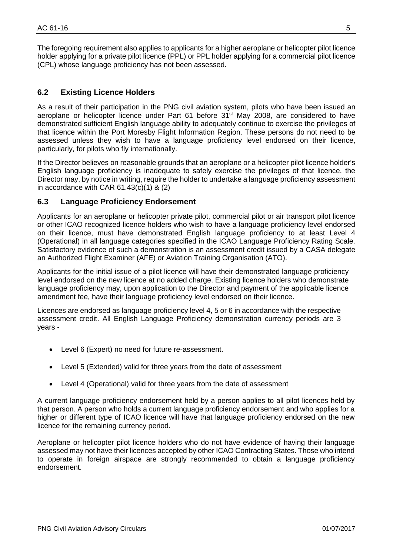The foregoing requirement also applies to applicants for a higher aeroplane or helicopter pilot licence holder applying for a private pilot licence (PPL) or PPL holder applying for a commercial pilot licence (CPL) whose language proficiency has not been assessed.

## <span id="page-4-0"></span>**6.2 Existing Licence Holders**

As a result of their participation in the PNG civil aviation system, pilots who have been issued an aeroplane or helicopter licence under Part 61 before 31<sup>st</sup> May 2008, are considered to have demonstrated sufficient English language ability to adequately continue to exercise the privileges of that licence within the Port Moresby Flight Information Region. These persons do not need to be assessed unless they wish to have a language proficiency level endorsed on their licence, particularly, for pilots who fly internationally.

If the Director believes on reasonable grounds that an aeroplane or a helicopter pilot licence holder's English language proficiency is inadequate to safely exercise the privileges of that licence, the Director may, by notice in writing, require the holder to undertake a language proficiency assessment in accordance with CAR  $61.43(c)(1)$  &  $(2)$ 

## <span id="page-4-1"></span>**6.3 Language Proficiency Endorsement**

Applicants for an aeroplane or helicopter private pilot, commercial pilot or air transport pilot licence or other ICAO recognized licence holders who wish to have a language proficiency level endorsed on their licence, must have demonstrated English language proficiency to at least Level 4 (Operational) in all language categories specified in the ICAO Language Proficiency Rating Scale. Satisfactory evidence of such a demonstration is an assessment credit issued by a CASA delegate an Authorized Flight Examiner (AFE) or Aviation Training Organisation (ATO).

Applicants for the initial issue of a pilot licence will have their demonstrated language proficiency level endorsed on the new licence at no added charge. Existing licence holders who demonstrate language proficiency may, upon application to the Director and payment of the applicable licence amendment fee, have their language proficiency level endorsed on their licence.

Licences are endorsed as language proficiency level 4, 5 or 6 in accordance with the respective assessment credit. All English Language Proficiency demonstration currency periods are 3 years -

- Level 6 (Expert) no need for future re-assessment.
- Level 5 (Extended) valid for three years from the date of assessment
- Level 4 (Operational) valid for three years from the date of assessment

A current language proficiency endorsement held by a person applies to all pilot licences held by that person. A person who holds a current language proficiency endorsement and who applies for a higher or different type of ICAO licence will have that language proficiency endorsed on the new licence for the remaining currency period.

Aeroplane or helicopter pilot licence holders who do not have evidence of having their language assessed may not have their licences accepted by other ICAO Contracting States. Those who intend to operate in foreign airspace are strongly recommended to obtain a language proficiency endorsement.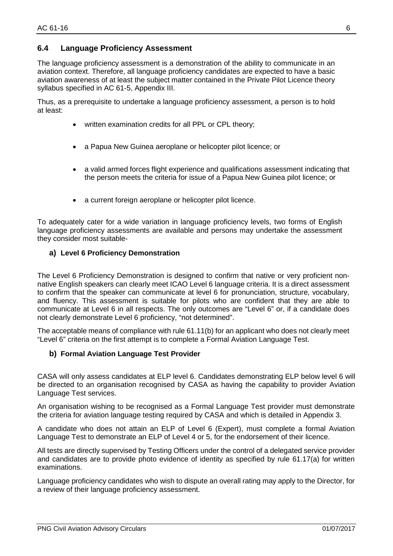## <span id="page-5-0"></span>**6.4 Language Proficiency Assessment**

The language proficiency assessment is a demonstration of the ability to communicate in an aviation context. Therefore, all language proficiency candidates are expected to have a basic aviation awareness of at least the subject matter contained in the Private Pilot Licence theory syllabus specified in AC 61-5, Appendix III.

Thus, as a prerequisite to undertake a language proficiency assessment, a person is to hold at least:

- written examination credits for all PPL or CPL theory;
- a Papua New Guinea aeroplane or helicopter pilot licence; or
- a valid armed forces flight experience and qualifications assessment indicating that the person meets the criteria for issue of a Papua New Guinea pilot licence; or
- a current foreign aeroplane or helicopter pilot licence.

To adequately cater for a wide variation in language proficiency levels, two forms of English language proficiency assessments are available and persons may undertake the assessment they consider most suitable-

## **a) Level 6 Proficiency Demonstration**

The Level 6 Proficiency Demonstration is designed to confirm that native or very proficient nonnative English speakers can clearly meet ICAO Level 6 language criteria. It is a direct assessment to confirm that the speaker can communicate at level 6 for pronunciation, structure, vocabulary, and fluency. This assessment is suitable for pilots who are confident that they are able to communicate at Level 6 in all respects. The only outcomes are "Level 6" or, if a candidate does not clearly demonstrate Level 6 proficiency, "not determined".

The acceptable means of compliance with rule 61.11(b) for an applicant who does not clearly meet "Level 6" criteria on the first attempt is to complete a Formal Aviation Language Test.

## **b) Formal Aviation Language Test Provider**

CASA will only assess candidates at ELP level 6. Candidates demonstrating ELP below level 6 will be directed to an organisation recognised by CASA as having the capability to provider Aviation Language Test services.

An organisation wishing to be recognised as a Formal Language Test provider must demonstrate the criteria for aviation language testing required by CASA and which is detailed in Appendix 3.

A candidate who does not attain an ELP of Level 6 (Expert), must complete a formal Aviation Language Test to demonstrate an ELP of Level 4 or 5, for the endorsement of their licence.

All tests are directly supervised by Testing Officers under the control of a delegated service provider and candidates are to provide photo evidence of identity as specified by rule 61.17(a) for written examinations.

Language proficiency candidates who wish to dispute an overall rating may apply to the Director, for a review of their language proficiency assessment.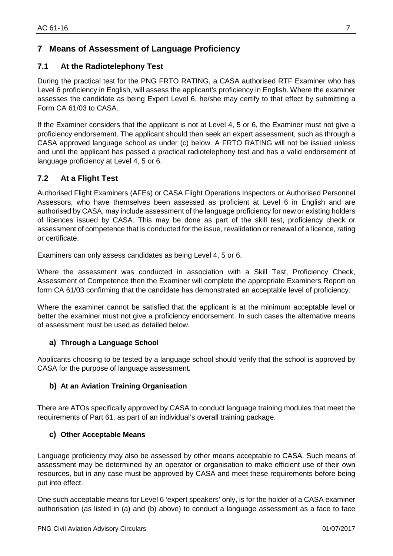## <span id="page-6-0"></span>**7 Means of Assessment of Language Proficiency**

## <span id="page-6-1"></span>**7.1 At the Radiotelephony Test**

During the practical test for the PNG FRTO RATING, a CASA authorised RTF Examiner who has Level 6 proficiency in English, will assess the applicant's proficiency in English. Where the examiner assesses the candidate as being Expert Level 6, he/she may certify to that effect by submitting a Form CA 61/03 to CASA.

If the Examiner considers that the applicant is not at Level 4, 5 or 6, the Examiner must not give a proficiency endorsement. The applicant should then seek an expert assessment, such as through a CASA approved language school as under (c) below. A FRTO RATING will not be issued unless and until the applicant has passed a practical radiotelephony test and has a valid endorsement of language proficiency at Level 4, 5 or 6.

## <span id="page-6-2"></span>**7.2 At a Flight Test**

Authorised Flight Examiners (AFEs) or CASA Flight Operations Inspectors or Authorised Personnel Assessors, who have themselves been assessed as proficient at Level 6 in English and are authorised by CASA, may include assessment of the language proficiency for new or existing holders of licences issued by CASA. This may be done as part of the skill test, proficiency check or assessment of competence that is conducted for the issue, revalidation or renewal of a licence, rating or certificate.

Examiners can only assess candidates as being Level 4, 5 or 6.

Where the assessment was conducted in association with a Skill Test, Proficiency Check, Assessment of Competence then the Examiner will complete the appropriate Examiners Report on form CA 61/03 confirming that the candidate has demonstrated an acceptable level of proficiency.

Where the examiner cannot be satisfied that the applicant is at the minimum acceptable level or better the examiner must not give a proficiency endorsement. In such cases the alternative means of assessment must be used as detailed below.

## **a) Through a Language School**

Applicants choosing to be tested by a language school should verify that the school is approved by CASA for the purpose of language assessment.

## **b) At an Aviation Training Organisation**

There are ATOs specifically approved by CASA to conduct language training modules that meet the requirements of Part 61, as part of an individual's overall training package.

## **c) Other Acceptable Means**

Language proficiency may also be assessed by other means acceptable to CASA. Such means of assessment may be determined by an operator or organisation to make efficient use of their own resources, but in any case must be approved by CASA and meet these requirements before being put into effect.

One such acceptable means for Level 6 'expert speakers' only, is for the holder of a CASA examiner authorisation (as listed in (a) and (b) above) to conduct a language assessment as a face to face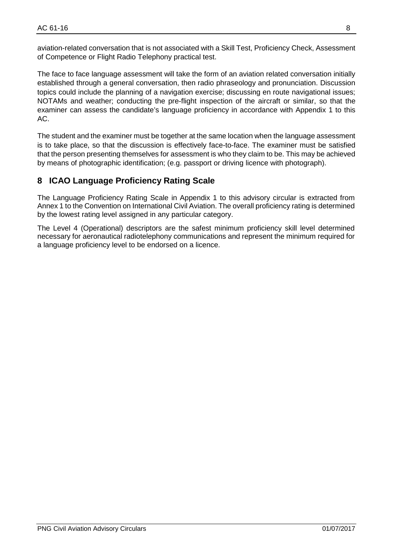aviation-related conversation that is not associated with a Skill Test, Proficiency Check, Assessment of Competence or Flight Radio Telephony practical test.

The face to face language assessment will take the form of an aviation related conversation initially established through a general conversation, then radio phraseology and pronunciation. Discussion topics could include the planning of a navigation exercise; discussing en route navigational issues; NOTAMs and weather; conducting the pre-flight inspection of the aircraft or similar, so that the examiner can assess the candidate's language proficiency in accordance with Appendix 1 to this AC.

The student and the examiner must be together at the same location when the language assessment is to take place, so that the discussion is effectively face-to-face. The examiner must be satisfied that the person presenting themselves for assessment is who they claim to be. This may be achieved by means of photographic identification; (e.g. passport or driving licence with photograph).

## <span id="page-7-0"></span>**8 ICAO Language Proficiency Rating Scale**

The Language Proficiency Rating Scale in Appendix 1 to this advisory circular is extracted from Annex 1 to the Convention on International Civil Aviation. The overall proficiency rating is determined by the lowest rating level assigned in any particular category.

The Level 4 (Operational) descriptors are the safest minimum proficiency skill level determined necessary for aeronautical radiotelephony communications and represent the minimum required for a language proficiency level to be endorsed on a licence.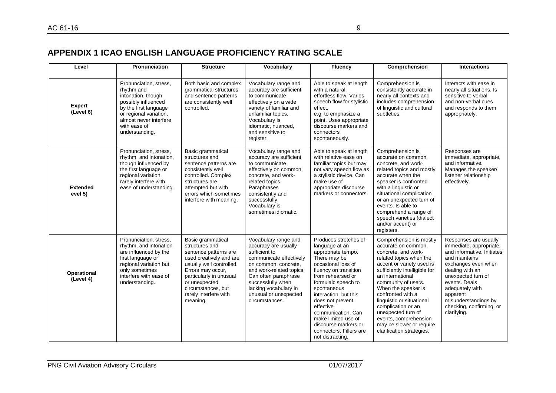## **APPENDIX 1 ICAO ENGLISH LANGUAGE PROFICIENCY RATING SCALE**

<span id="page-8-0"></span>

| Level                      | Pronunciation                                                                                                                                                                                    | <b>Structure</b>                                                                                                                                                                                                                                | Vocabulary                                                                                                                                                                                                                                                    | <b>Fluency</b>                                                                                                                                                                                                                                                                                                                                                        | Comprehension                                                                                                                                                                                                                                                                                                                                                                                                    | <b>Interactions</b>                                                                                                                                                                                                                                                                |
|----------------------------|--------------------------------------------------------------------------------------------------------------------------------------------------------------------------------------------------|-------------------------------------------------------------------------------------------------------------------------------------------------------------------------------------------------------------------------------------------------|---------------------------------------------------------------------------------------------------------------------------------------------------------------------------------------------------------------------------------------------------------------|-----------------------------------------------------------------------------------------------------------------------------------------------------------------------------------------------------------------------------------------------------------------------------------------------------------------------------------------------------------------------|------------------------------------------------------------------------------------------------------------------------------------------------------------------------------------------------------------------------------------------------------------------------------------------------------------------------------------------------------------------------------------------------------------------|------------------------------------------------------------------------------------------------------------------------------------------------------------------------------------------------------------------------------------------------------------------------------------|
| <b>Expert</b><br>(Level 6) | Pronunciation, stress,<br>rhythm and<br>intonation, though<br>possibly influenced<br>by the first language<br>or regional variation,<br>almost never interfere<br>with ease of<br>understanding. | Both basic and complex<br>grammatical structures<br>and sentence patterns<br>are consistently well<br>controlled.                                                                                                                               | Vocabulary range and<br>accuracy are sufficient<br>to communicate<br>effectively on a wide<br>variety of familiar and<br>unfamiliar topics.<br>Vocabulary is<br>idiomatic, nuanced,<br>and sensitive to<br>register.                                          | Able to speak at length<br>with a natural.<br>effortless flow. Varies<br>speech flow for stylistic<br>effect,<br>e.g. to emphasize a<br>point. Uses appropriate<br>discourse markers and<br>connectors<br>spontaneously.                                                                                                                                              | Comprehension is<br>consistently accurate in<br>nearly all contexts and<br>includes comprehension<br>of linguistic and cultural<br>subtleties.                                                                                                                                                                                                                                                                   | Interacts with ease in<br>nearly all situations. Is<br>sensitive to verbal<br>and non-verbal cues<br>and responds to them<br>appropriately.                                                                                                                                        |
| <b>Extended</b><br>evel 5) | Pronunciation, stress,<br>rhythm, and intonation,<br>though influenced by<br>the first language or<br>regional variation,<br>rarely interfere with<br>ease of understanding.                     | Basic grammatical<br>structures and<br>sentence patterns are<br>consistently well<br>controlled. Complex<br>structures are<br>attempted but with<br>errors which sometimes<br>interfere with meaning.                                           | Vocabulary range and<br>accuracy are sufficient<br>to communicate<br>effectively on common,<br>concrete, and work-<br>related topics.<br>Paraphrases<br>consistently and<br>successfully.<br>Vocabulary is<br>sometimes idiomatic.                            | Able to speak at length<br>with relative ease on<br>familiar topics but may<br>not vary speech flow as<br>a stylistic device. Can<br>make use of<br>appropriate discourse<br>markers or connectors.                                                                                                                                                                   | Comprehension is<br>accurate on common,<br>concrete, and work-<br>related topics and mostly<br>accurate when the<br>speaker is confronted<br>with a linguistic or<br>situational complication<br>or an unexpected turn of<br>events. Is able to<br>comprehend a range of<br>speech varieties (dialect<br>and/or accent) or<br>registers.                                                                         | Responses are<br>immediate, appropriate,<br>and informative.<br>Manages the speaker/<br>listener relationship<br>effectively.                                                                                                                                                      |
| Operational<br>(Level 4)   | Pronunciation, stress,<br>rhythm, and intonation<br>are influenced by the<br>first language or<br>regional variation but<br>only sometimes<br>interfere with ease of<br>understanding.           | Basic grammatical<br>structures and<br>sentence patterns are<br>used creatively and are<br>usually well controlled.<br>Errors may occur.<br>particularly in unusual<br>or unexpected<br>circumstances, but<br>rarely interfere with<br>meaning. | Vocabulary range and<br>accuracy are usually<br>sufficient to<br>communicate effectively<br>on common, concrete,<br>and work-related topics.<br>Can often paraphrase<br>successfully when<br>lacking vocabulary in<br>unusual or unexpected<br>circumstances. | Produces stretches of<br>language at an<br>appropriate tempo.<br>There may be<br>occasional loss of<br>fluency on transition<br>from rehearsed or<br>formulaic speech to<br>spontaneous<br>interaction, but this<br>does not prevent<br>effective<br>communication. Can<br>make limited use of<br>discourse markers or<br>connectors. Fillers are<br>not distracting. | Comprehension is mostly<br>accurate on common,<br>concrete, and work-<br>related topics when the<br>accent or variety used is<br>sufficiently intelligible for<br>an international<br>community of users.<br>When the speaker is<br>confronted with a<br>linguistic or situational<br>complication or an<br>unexpected turn of<br>events, comprehension<br>may be slower or require<br>clarification strategies. | Responses are usually<br>immediate, appropriate,<br>and informative. Initiates<br>and maintains<br>exchanges even when<br>dealing with an<br>unexpected turn of<br>events. Deals<br>adequately with<br>apparent<br>misunderstandings by<br>checking, confirming, or<br>clarifying. |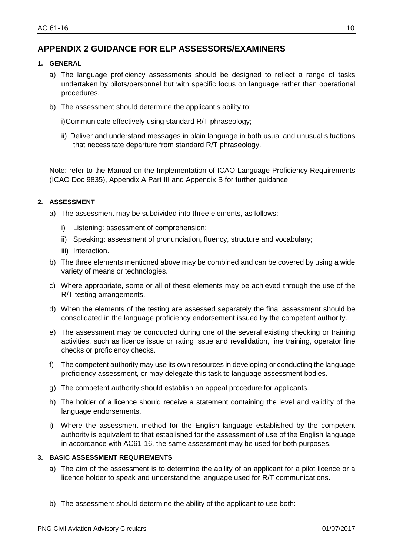## <span id="page-9-0"></span>**APPENDIX 2 GUIDANCE FOR ELP ASSESSORS/EXAMINERS**

#### <span id="page-9-1"></span>**1. GENERAL**

- a) The language proficiency assessments should be designed to reflect a range of tasks undertaken by pilots/personnel but with specific focus on language rather than operational procedures.
- b) The assessment should determine the applicant's ability to:

i)Communicate effectively using standard R/T phraseology;

ii) Deliver and understand messages in plain language in both usual and unusual situations that necessitate departure from standard R/T phraseology.

Note: refer to the Manual on the Implementation of ICAO Language Proficiency Requirements (ICAO Doc 9835), Appendix A Part III and Appendix B for further guidance.

## <span id="page-9-2"></span>**2. ASSESSMENT**

- a) The assessment may be subdivided into three elements, as follows:
	- i) Listening: assessment of comprehension;
	- ii) Speaking: assessment of pronunciation, fluency, structure and vocabulary;
	- iii) Interaction.
- b) The three elements mentioned above may be combined and can be covered by using a wide variety of means or technologies.
- c) Where appropriate, some or all of these elements may be achieved through the use of the R/T testing arrangements.
- d) When the elements of the testing are assessed separately the final assessment should be consolidated in the language proficiency endorsement issued by the competent authority.
- e) The assessment may be conducted during one of the several existing checking or training activities, such as licence issue or rating issue and revalidation, line training, operator line checks or proficiency checks.
- f) The competent authority may use its own resources in developing or conducting the language proficiency assessment, or may delegate this task to language assessment bodies.
- g) The competent authority should establish an appeal procedure for applicants.
- h) The holder of a licence should receive a statement containing the level and validity of the language endorsements.
- i) Where the assessment method for the English language established by the competent authority is equivalent to that established for the assessment of use of the English language in accordance with AC61-16, the same assessment may be used for both purposes.

#### <span id="page-9-3"></span>**3. BASIC ASSESSMENT REQUIREMENTS**

- a) The aim of the assessment is to determine the ability of an applicant for a pilot licence or a licence holder to speak and understand the language used for R/T communications.
- b) The assessment should determine the ability of the applicant to use both: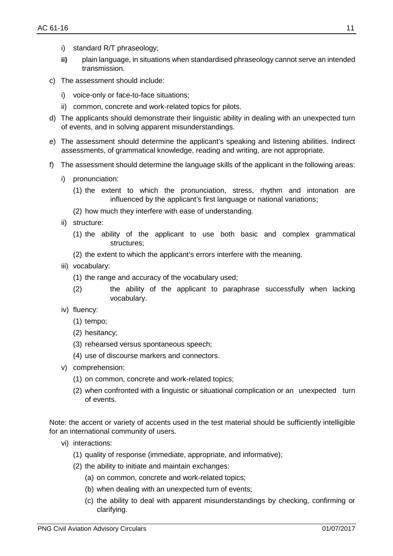- i) standard R/T phraseology;
- **ii)** plain language, in situations when standardised phraseology cannot serve an intended transmission.
- c) The assessment should include:
	- i) voice-only or face-to-face situations;
	- ii) common, concrete and work-related topics for pilots.
- d) The applicants should demonstrate their linguistic ability in dealing with an unexpected turn of events, and in solving apparent misunderstandings.
- e) The assessment should determine the applicant's speaking and listening abilities. Indirect assessments, of grammatical knowledge, reading and writing, are not appropriate.
- f) The assessment should determine the language skills of the applicant in the following areas:
	- i) pronunciation:
		- (1) the extent to which the pronunciation, stress, rhythm and intonation are influenced by the applicant's first language or national variations;
		- (2) how much they interfere with ease of understanding.
	- ii) structure:
		- (1) the ability of the applicant to use both basic and complex grammatical structures;
		- (2) the extent to which the applicant's errors interfere with the meaning.
	- iii) vocabulary:
		- (1) the range and accuracy of the vocabulary used;
		- (2) the ability of the applicant to paraphrase successfully when lacking vocabulary.
	- iv) fluency:
		- (1) tempo;
		- (2) hesitancy;
		- (3) rehearsed versus spontaneous speech;
		- (4) use of discourse markers and connectors.
	- v) comprehension:
		- (1) on common, concrete and work-related topics;
		- (2) when confronted with a linguistic or situational complication or an unexpected turn of events.

Note: the accent or variety of accents used in the test material should be sufficiently intelligible for an international community of users.

- vi) interactions:
	- (1) quality of response (immediate, appropriate, and informative);
	- (2) the ability to initiate and maintain exchanges:
		- (a) on common, concrete and work-related topics;
		- (b) when dealing with an unexpected turn of events;
		- (c) the ability to deal with apparent misunderstandings by checking, confirming or clarifying.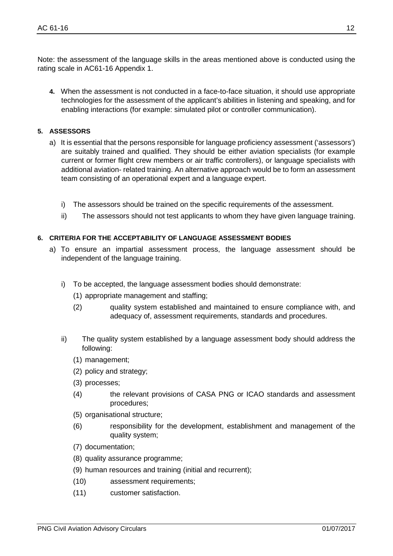Note: the assessment of the language skills in the areas mentioned above is conducted using the rating scale in AC61-16 Appendix 1.

**4.** When the assessment is not conducted in a face-to-face situation, it should use appropriate technologies for the assessment of the applicant's abilities in listening and speaking, and for enabling interactions (for example: simulated pilot or controller communication).

#### <span id="page-11-0"></span>**5. ASSESSORS**

- a) It is essential that the persons responsible for language proficiency assessment ('assessors') are suitably trained and qualified. They should be either aviation specialists (for example current or former flight crew members or air traffic controllers), or language specialists with additional aviation- related training. An alternative approach would be to form an assessment team consisting of an operational expert and a language expert.
	- i) The assessors should be trained on the specific requirements of the assessment.
	- ii) The assessors should not test applicants to whom they have given language training.

#### <span id="page-11-1"></span>**6. CRITERIA FOR THE ACCEPTABILITY OF LANGUAGE ASSESSMENT BODIES**

- a) To ensure an impartial assessment process, the language assessment should be independent of the language training.
	- i) To be accepted, the language assessment bodies should demonstrate:
		- (1) appropriate management and staffing;
		- (2) quality system established and maintained to ensure compliance with, and adequacy of, assessment requirements, standards and procedures.
	- ii) The quality system established by a language assessment body should address the following:
		- (1) management;
		- (2) policy and strategy;
		- (3) processes;
		- (4) the relevant provisions of CASA PNG or ICAO standards and assessment procedures;
		- (5) organisational structure;
		- (6) responsibility for the development, establishment and management of the quality system;
		- (7) documentation;
		- (8) quality assurance programme;
		- (9) human resources and training (initial and recurrent);
		- (10) assessment requirements;
		- (11) customer satisfaction.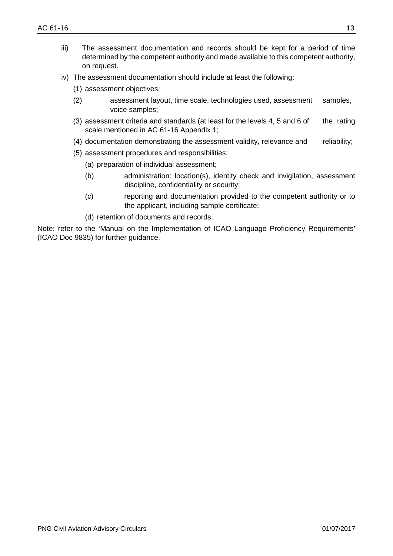- iii) The assessment documentation and records should be kept for a period of time determined by the competent authority and made available to this competent authority, on request.
- iv) The assessment documentation should include at least the following:
	- (1) assessment objectives;
	- (2) assessment layout, time scale, technologies used, assessment samples, voice samples;
	- (3) assessment criteria and standards (at least for the levels  $4, 5$  and  $6$  of the rating scale mentioned in AC 61-16 Appendix 1;
	- (4) documentation demonstrating the assessment validity, relevance and reliability;
	- (5) assessment procedures and responsibilities:
		- (a) preparation of individual assessment;
		- (b) administration: location(s), identity check and invigilation, assessment discipline, confidentiality or security;
		- (c) reporting and documentation provided to the competent authority or to the applicant, including sample certificate;
		- (d) retention of documents and records.

Note: refer to the 'Manual on the Implementation of ICAO Language Proficiency Requirements' (ICAO Doc 9835) for further guidance.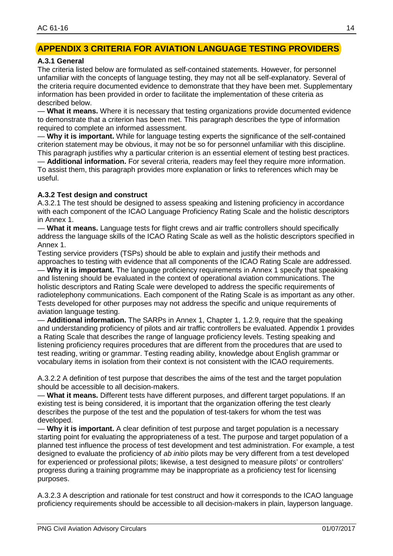## **APPENDIX 3 CRITERIA FOR AVIATION LANGUAGE TESTING PROVIDERS**

## **A.3.1 General**

The criteria listed below are formulated as self-contained statements. However, for personnel unfamiliar with the concepts of language testing, they may not all be self-explanatory. Several of the criteria require documented evidence to demonstrate that they have been met. Supplementary information has been provided in order to facilitate the implementation of these criteria as described below.

— **What it means.** Where it is necessary that testing organizations provide documented evidence to demonstrate that a criterion has been met. This paragraph describes the type of information required to complete an informed assessment.

— **Why it is important.** While for language testing experts the significance of the self-contained criterion statement may be obvious, it may not be so for personnel unfamiliar with this discipline. This paragraph justifies why a particular criterion is an essential element of testing best practices.

— **Additional information.** For several criteria, readers may feel they require more information. To assist them, this paragraph provides more explanation or links to references which may be useful.

## **A.3.2 Test design and construct**

A.3.2.1 The test should be designed to assess speaking and listening proficiency in accordance with each component of the ICAO Language Proficiency Rating Scale and the holistic descriptors in Annex 1.

— **What it means.** Language tests for flight crews and air traffic controllers should specifically address the language skills of the ICAO Rating Scale as well as the holistic descriptors specified in Annex 1.

Testing service providers (TSPs) should be able to explain and justify their methods and approaches to testing with evidence that all components of the ICAO Rating Scale are addressed. — **Why it is important.** The language proficiency requirements in Annex 1 specify that speaking and listening should be evaluated in the context of operational aviation communications. The holistic descriptors and Rating Scale were developed to address the specific requirements of radiotelephony communications. Each component of the Rating Scale is as important as any other. Tests developed for other purposes may not address the specific and unique requirements of aviation language testing.

— **Additional information.** The SARPs in Annex 1, Chapter 1, 1.2.9, require that the speaking and understanding proficiency of pilots and air traffic controllers be evaluated. Appendix 1 provides a Rating Scale that describes the range of language proficiency levels. Testing speaking and listening proficiency requires procedures that are different from the procedures that are used to test reading, writing or grammar. Testing reading ability, knowledge about English grammar or vocabulary items in isolation from their context is not consistent with the ICAO requirements.

A.3.2.2 A definition of test purpose that describes the aims of the test and the target population should be accessible to all decision-makers.

— **What it means.** Different tests have different purposes, and different target populations. If an existing test is being considered, it is important that the organization offering the test clearly describes the purpose of the test and the population of test-takers for whom the test was developed.

— **Why it is important.** A clear definition of test purpose and target population is a necessary starting point for evaluating the appropriateness of a test. The purpose and target population of a planned test influence the process of test development and test administration. For example, a test designed to evaluate the proficiency of *ab initio* pilots may be very different from a test developed for experienced or professional pilots; likewise, a test designed to measure pilots' or controllers' progress during a training programme may be inappropriate as a proficiency test for licensing purposes.

A.3.2.3 A description and rationale for test construct and how it corresponds to the ICAO language proficiency requirements should be accessible to all decision-makers in plain, layperson language.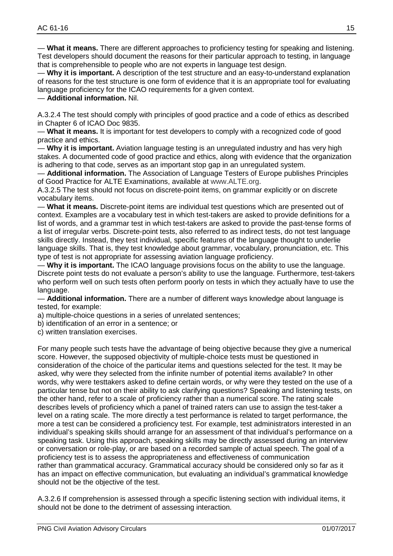— **What it means.** There are different approaches to proficiency testing for speaking and listening. Test developers should document the reasons for their particular approach to testing, in language that is comprehensible to people who are not experts in language test design.

— **Why it is important.** A description of the test structure and an easy-to-understand explanation of reasons for the test structure is one form of evidence that it is an appropriate tool for evaluating language proficiency for the ICAO requirements for a given context.

— **Additional information.** Nil.

A.3.2.4 The test should comply with principles of good practice and a code of ethics as described in Chapter 6 of ICAO Doc 9835.

— **What it means.** It is important for test developers to comply with a recognized code of good practice and ethics.

— **Why it is important.** Aviation language testing is an unregulated industry and has very high stakes. A documented code of good practice and ethics, along with evidence that the organization is adhering to that code, serves as an important stop gap in an unregulated system.

— **Additional information.** The Association of Language Testers of Europe publishes Principles of Good Practice for ALTE Examinations, available at www.ALTE.org.

A.3.2.5 The test should not focus on discrete-point items, on grammar explicitly or on discrete vocabulary items.

— **What it means.** Discrete-point items are individual test questions which are presented out of context. Examples are a vocabulary test in which test-takers are asked to provide definitions for a list of words, and a grammar test in which test-takers are asked to provide the past-tense forms of a list of irregular verbs. Discrete-point tests, also referred to as indirect tests, do not test language skills directly. Instead, they test individual, specific features of the language thought to underlie language skills. That is, they test knowledge about grammar, vocabulary, pronunciation, etc. This type of test is not appropriate for assessing aviation language proficiency.

— **Why it is important.** The ICAO language provisions focus on the ability to use the language. Discrete point tests do not evaluate a person's ability to use the language. Furthermore, test-takers who perform well on such tests often perform poorly on tests in which they actually have to use the language.

— **Additional information.** There are a number of different ways knowledge about language is tested, for example:

a) multiple-choice questions in a series of unrelated sentences;

b) identification of an error in a sentence; or

c) written translation exercises.

For many people such tests have the advantage of being objective because they give a numerical score. However, the supposed objectivity of multiple-choice tests must be questioned in consideration of the choice of the particular items and questions selected for the test. It may be asked, why were they selected from the infinite number of potential items available? In other words, why were testtakers asked to define certain words, or why were they tested on the use of a particular tense but not on their ability to ask clarifying questions? Speaking and listening tests, on the other hand, refer to a scale of proficiency rather than a numerical score. The rating scale describes levels of proficiency which a panel of trained raters can use to assign the test-taker a level on a rating scale. The more directly a test performance is related to target performance, the more a test can be considered a proficiency test. For example, test administrators interested in an individual's speaking skills should arrange for an assessment of that individual's performance on a speaking task. Using this approach, speaking skills may be directly assessed during an interview or conversation or role-play, or are based on a recorded sample of actual speech. The goal of a proficiency test is to assess the appropriateness and effectiveness of communication rather than grammatical accuracy. Grammatical accuracy should be considered only so far as it has an impact on effective communication, but evaluating an individual's grammatical knowledge should not be the objective of the test.

A.3.2.6 If comprehension is assessed through a specific listening section with individual items, it should not be done to the detriment of assessing interaction.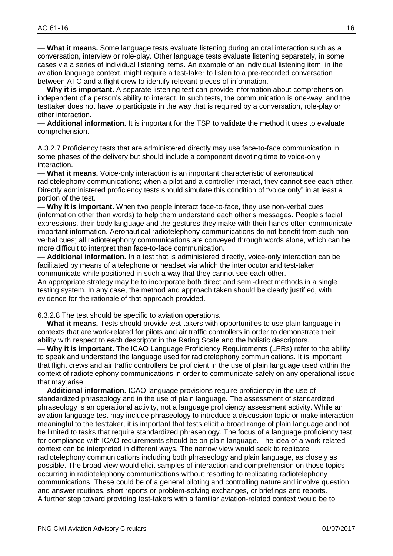— **What it means.** Some language tests evaluate listening during an oral interaction such as a conversation, interview or role-play. Other language tests evaluate listening separately, in some cases via a series of individual listening items. An example of an individual listening item, in the aviation language context, might require a test-taker to listen to a pre-recorded conversation between ATC and a flight crew to identify relevant pieces of information.

— **Why it is important.** A separate listening test can provide information about comprehension independent of a person's ability to interact. In such tests, the communication is one-way, and the testtaker does not have to participate in the way that is required by a conversation, role-play or other interaction.

— **Additional information.** It is important for the TSP to validate the method it uses to evaluate comprehension.

A.3.2.7 Proficiency tests that are administered directly may use face-to-face communication in some phases of the delivery but should include a component devoting time to voice-only interaction.

— **What it means.** Voice-only interaction is an important characteristic of aeronautical radiotelephony communications; when a pilot and a controller interact, they cannot see each other. Directly administered proficiency tests should simulate this condition of "voice only" in at least a portion of the test.

— **Why it is important.** When two people interact face-to-face, they use non-verbal cues (information other than words) to help them understand each other's messages. People's facial expressions, their body language and the gestures they make with their hands often communicate important information. Aeronautical radiotelephony communications do not benefit from such nonverbal cues; all radiotelephony communications are conveyed through words alone, which can be more difficult to interpret than face-to-face communication.

— **Additional information.** In a test that is administered directly, voice-only interaction can be facilitated by means of a telephone or headset via which the interlocutor and test-taker communicate while positioned in such a way that they cannot see each other.

An appropriate strategy may be to incorporate both direct and semi-direct methods in a single testing system. In any case, the method and approach taken should be clearly justified, with evidence for the rationale of that approach provided.

6.3.2.8 The test should be specific to aviation operations.

— **What it means.** Tests should provide test-takers with opportunities to use plain language in contexts that are work-related for pilots and air traffic controllers in order to demonstrate their ability with respect to each descriptor in the Rating Scale and the holistic descriptors.

— **Why it is important.** The ICAO Language Proficiency Requirements (LPRs) refer to the ability to speak and understand the language used for radiotelephony communications. It is important that flight crews and air traffic controllers be proficient in the use of plain language used within the context of radiotelephony communications in order to communicate safely on any operational issue that may arise.

— **Additional information.** ICAO language provisions require proficiency in the use of standardized phraseology and in the use of plain language. The assessment of standardized phraseology is an operational activity, not a language proficiency assessment activity. While an aviation language test may include phraseology to introduce a discussion topic or make interaction meaningful to the testtaker, it is important that tests elicit a broad range of plain language and not be limited to tasks that require standardized phraseology. The focus of a language proficiency test for compliance with ICAO requirements should be on plain language. The idea of a work-related context can be interpreted in different ways. The narrow view would seek to replicate radiotelephony communications including both phraseology and plain language, as closely as possible. The broad view would elicit samples of interaction and comprehension on those topics occurring in radiotelephony communications without resorting to replicating radiotelephony communications. These could be of a general piloting and controlling nature and involve question and answer routines, short reports or problem-solving exchanges, or briefings and reports. A further step toward providing test-takers with a familiar aviation-related context would be to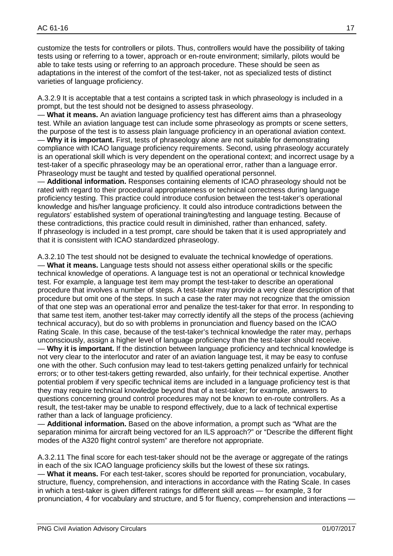customize the tests for controllers or pilots. Thus, controllers would have the possibility of taking tests using or referring to a tower, approach or en-route environment; similarly, pilots would be able to take tests using or referring to an approach procedure. These should be seen as adaptations in the interest of the comfort of the test-taker, not as specialized tests of distinct varieties of language proficiency.

A.3.2.9 It is acceptable that a test contains a scripted task in which phraseology is included in a prompt, but the test should not be designed to assess phraseology.

— **What it means.** An aviation language proficiency test has different aims than a phraseology test. While an aviation language test can include some phraseology as prompts or scene setters, the purpose of the test is to assess plain language proficiency in an operational aviation context. — **Why it is important.** First, tests of phraseology alone are not suitable for demonstrating compliance with ICAO language proficiency requirements. Second, using phraseology accurately is an operational skill which is very dependent on the operational context; and incorrect usage by a test-taker of a specific phraseology may be an operational error, rather than a language error. Phraseology must be taught and tested by qualified operational personnel.

— **Additional information.** Responses containing elements of ICAO phraseology should not be rated with regard to their procedural appropriateness or technical correctness during language proficiency testing. This practice could introduce confusion between the test-taker's operational knowledge and his/her language proficiency. It could also introduce contradictions between the regulators' established system of operational training/testing and language testing. Because of these contradictions, this practice could result in diminished, rather than enhanced, safety. If phraseology is included in a test prompt, care should be taken that it is used appropriately and that it is consistent with ICAO standardized phraseology.

A.3.2.10 The test should not be designed to evaluate the technical knowledge of operations. — **What it means.** Language tests should not assess either operational skills or the specific technical knowledge of operations. A language test is not an operational or technical knowledge test. For example, a language test item may prompt the test-taker to describe an operational procedure that involves a number of steps. A test-taker may provide a very clear description of that procedure but omit one of the steps. In such a case the rater may not recognize that the omission of that one step was an operational error and penalize the test-taker for that error. In responding to that same test item, another test-taker may correctly identify all the steps of the process (achieving technical accuracy), but do so with problems in pronunciation and fluency based on the ICAO Rating Scale. In this case, because of the test-taker's technical knowledge the rater may, perhaps unconsciously, assign a higher level of language proficiency than the test-taker should receive. — **Why it is important.** If the distinction between language proficiency and technical knowledge is not very clear to the interlocutor and rater of an aviation language test, it may be easy to confuse one with the other. Such confusion may lead to test-takers getting penalized unfairly for technical errors; or to other test-takers getting rewarded, also unfairly, for their technical expertise. Another potential problem if very specific technical items are included in a language proficiency test is that they may require technical knowledge beyond that of a test-taker; for example, answers to questions concerning ground control procedures may not be known to en-route controllers. As a result, the test-taker may be unable to respond effectively, due to a lack of technical expertise rather than a lack of language proficiency.

— **Additional information.** Based on the above information, a prompt such as "What are the separation minima for aircraft being vectored for an ILS approach?" or "Describe the different flight modes of the A320 flight control system" are therefore not appropriate.

A.3.2.11 The final score for each test-taker should not be the average or aggregate of the ratings in each of the six ICAO language proficiency skills but the lowest of these six ratings.

— **What it means.** For each test-taker, scores should be reported for pronunciation, vocabulary, structure, fluency, comprehension, and interactions in accordance with the Rating Scale. In cases in which a test-taker is given different ratings for different skill areas — for example, 3 for pronunciation, 4 for vocabulary and structure, and 5 for fluency, comprehension and interactions —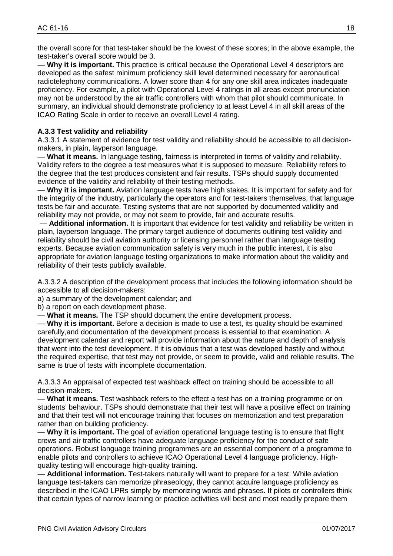the overall score for that test-taker should be the lowest of these scores; in the above example, the test-taker's overall score would be 3.

— **Why it is important.** This practice is critical because the Operational Level 4 descriptors are developed as the safest minimum proficiency skill level determined necessary for aeronautical radiotelephony communications. A lower score than 4 for any one skill area indicates inadequate proficiency. For example, a pilot with Operational Level 4 ratings in all areas except pronunciation may not be understood by the air traffic controllers with whom that pilot should communicate. In summary, an individual should demonstrate proficiency to at least Level 4 in all skill areas of the ICAO Rating Scale in order to receive an overall Level 4 rating.

#### **A.3.3 Test validity and reliability**

A.3.3.1 A statement of evidence for test validity and reliability should be accessible to all decisionmakers, in plain, layperson language.

— **What it means.** In language testing, fairness is interpreted in terms of validity and reliability. Validity refers to the degree a test measures what it is supposed to measure. Reliability refers to the degree that the test produces consistent and fair results. TSPs should supply documented evidence of the validity and reliability of their testing methods.

— **Why it is important.** Aviation language tests have high stakes. It is important for safety and for the integrity of the industry, particularly the operators and for test-takers themselves, that language tests be fair and accurate. Testing systems that are not supported by documented validity and reliability may not provide, or may not seem to provide, fair and accurate results.

— **Additional information.** It is important that evidence for test validity and reliability be written in plain, layperson language. The primary target audience of documents outlining test validity and reliability should be civil aviation authority or licensing personnel rather than language testing experts. Because aviation communication safety is very much in the public interest, it is also appropriate for aviation language testing organizations to make information about the validity and reliability of their tests publicly available.

A.3.3.2 A description of the development process that includes the following information should be accessible to all decision-makers:

a) a summary of the development calendar; and

b) a report on each development phase.

— **What it means.** The TSP should document the entire development process.

— **Why it is important.** Before a decision is made to use a test, its quality should be examined carefully,and documentation of the development process is essential to that examination. A development calendar and report will provide information about the nature and depth of analysis that went into the test development. If it is obvious that a test was developed hastily and without the required expertise, that test may not provide, or seem to provide, valid and reliable results. The same is true of tests with incomplete documentation.

A.3.3.3 An appraisal of expected test washback effect on training should be accessible to all decision-makers.

— **What it means.** Test washback refers to the effect a test has on a training programme or on students' behaviour. TSPs should demonstrate that their test will have a positive effect on training and that their test will not encourage training that focuses on memorization and test preparation rather than on building proficiency.

— **Why it is important.** The goal of aviation operational language testing is to ensure that flight crews and air traffic controllers have adequate language proficiency for the conduct of safe operations. Robust language training programmes are an essential component of a programme to enable pilots and controllers to achieve ICAO Operational Level 4 language proficiency. Highquality testing will encourage high-quality training.

— **Additional information.** Test-takers naturally will want to prepare for a test. While aviation language test-takers can memorize phraseology, they cannot acquire language proficiency as described in the ICAO LPRs simply by memorizing words and phrases. If pilots or controllers think that certain types of narrow learning or practice activities will best and most readily prepare them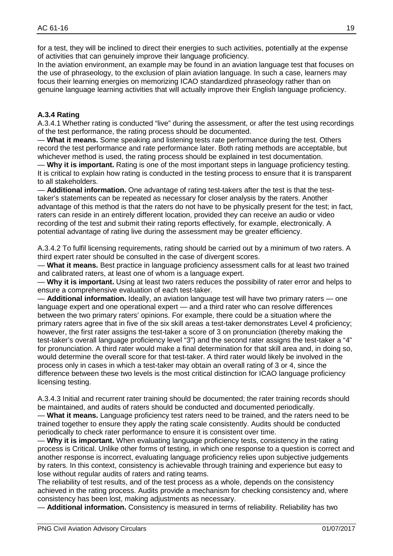for a test, they will be inclined to direct their energies to such activities, potentially at the expense of activities that can genuinely improve their language proficiency.

In the aviation environment, an example may be found in an aviation language test that focuses on the use of phraseology, to the exclusion of plain aviation language. In such a case, learners may focus their learning energies on memorizing ICAO standardized phraseology rather than on genuine language learning activities that will actually improve their English language proficiency.

#### **A.3.4 Rating**

A.3.4.1 Whether rating is conducted "live" during the assessment, or after the test using recordings of the test performance, the rating process should be documented.

— **What it means.** Some speaking and listening tests rate performance during the test. Others record the test performance and rate performance later. Both rating methods are acceptable, but whichever method is used, the rating process should be explained in test documentation.

— **Why it is important.** Rating is one of the most important steps in language proficiency testing. It is critical to explain how rating is conducted in the testing process to ensure that it is transparent to all stakeholders.

— **Additional information.** One advantage of rating test-takers after the test is that the testtaker's statements can be repeated as necessary for closer analysis by the raters. Another advantage of this method is that the raters do not have to be physically present for the test; in fact, raters can reside in an entirely different location, provided they can receive an audio or video recording of the test and submit their rating reports effectively, for example, electronically. A potential advantage of rating live during the assessment may be greater efficiency.

A.3.4.2 To fulfil licensing requirements, rating should be carried out by a minimum of two raters. A third expert rater should be consulted in the case of divergent scores.

— **What it means.** Best practice in language proficiency assessment calls for at least two trained and calibrated raters, at least one of whom is a language expert.

— **Why it is important.** Using at least two raters reduces the possibility of rater error and helps to ensure a comprehensive evaluation of each test-taker.

— **Additional information.** Ideally, an aviation language test will have two primary raters — one language expert and one operational expert — and a third rater who can resolve differences between the two primary raters' opinions. For example, there could be a situation where the primary raters agree that in five of the six skill areas a test-taker demonstrates Level 4 proficiency; however, the first rater assigns the test-taker a score of 3 on pronunciation (thereby making the test-taker's overall language proficiency level "3") and the second rater assigns the test-taker a "4" for pronunciation. A third rater would make a final determination for that skill area and, in doing so, would determine the overall score for that test-taker. A third rater would likely be involved in the process only in cases in which a test-taker may obtain an overall rating of 3 or 4, since the difference between these two levels is the most critical distinction for ICAO language proficiency licensing testing.

A.3.4.3 Initial and recurrent rater training should be documented; the rater training records should be maintained, and audits of raters should be conducted and documented periodically.

— **What it means.** Language proficiency test raters need to be trained, and the raters need to be trained together to ensure they apply the rating scale consistently. Audits should be conducted periodically to check rater performance to ensure it is consistent over time.

— **Why it is important.** When evaluating language proficiency tests, consistency in the rating process is Critical. Unlike other forms of testing, in which one response to a question is correct and another response is incorrect, evaluating language proficiency relies upon subjective judgements by raters. In this context, consistency is achievable through training and experience but easy to lose without regular audits of raters and rating teams.

The reliability of test results, and of the test process as a whole, depends on the consistency achieved in the rating process. Audits provide a mechanism for checking consistency and, where consistency has been lost, making adjustments as necessary.

— **Additional information.** Consistency is measured in terms of reliability. Reliability has two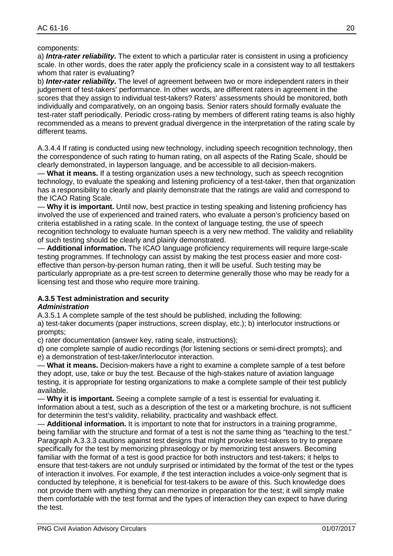#### components:

a) *Intra-rater reliability*. The extent to which a particular rater is consistent in using a proficiency scale. In other words, does the rater apply the proficiency scale in a consistent way to all testtakers whom that rater is evaluating?

b) *Inter-rater reliability***.** The level of agreement between two or more independent raters in their judgement of test-takers' performance. In other words, are different raters in agreement in the scores that they assign to individual test-takers? Raters' assessments should be monitored, both individually and comparatively, on an ongoing basis. Senior raters should formally evaluate the test-rater staff periodically. Periodic cross-rating by members of different rating teams is also highly recommended as a means to prevent gradual divergence in the interpretation of the rating scale by different teams.

A.3.4.4 If rating is conducted using new technology, including speech recognition technology, then the correspondence of such rating to human rating, on all aspects of the Rating Scale, should be clearly demonstrated, in layperson language, and be accessible to all decision-makers.

— **What it means.** If a testing organization uses a new technology, such as speech recognition technology, to evaluate the speaking and listening proficiency of a test-taker, then that organization has a responsibility to clearly and plainly demonstrate that the ratings are valid and correspond to the ICAO Rating Scale.

— **Why it is important.** Until now, best practice in testing speaking and listening proficiency has involved the use of experienced and trained raters, who evaluate a person's proficiency based on criteria established in a rating scale. In the context of language testing, the use of speech recognition technology to evaluate human speech is a very new method. The validity and reliability of such testing should be clearly and plainly demonstrated.

— **Additional information.** The ICAO language proficiency requirements will require large-scale testing programmes. If technology can assist by making the test process easier and more costeffective than person-by-person human rating, then it will be useful. Such testing may be particularly appropriate as a pre-test screen to determine generally those who may be ready for a licensing test and those who require more training.

## **A.3.5 Test administration and security**

#### *Administration*

A.3.5.1 A complete sample of the test should be published, including the following:

a) test-taker documents (paper instructions, screen display, etc.); b) interlocutor instructions or prompts;

c) rater documentation (answer key, rating scale, instructions);

d) one complete sample of audio recordings (for listening sections or semi-direct prompts); and e) a demonstration of test-taker/interlocutor interaction.

— **What it means.** Decision-makers have a right to examine a complete sample of a test before they adopt, use, take or buy the test. Because of the high-stakes nature of aviation language testing, it is appropriate for testing organizations to make a complete sample of their test publicly available.

— **Why it is important.** Seeing a complete sample of a test is essential for evaluating it. Information about a test, such as a description of the test or a marketing brochure, is not sufficient for determinin the test's validity, reliability, practicality and washback effect.

— **Additional information.** It is important to note that for instructors in a training programme, being familiar with the structure and format of a test is not the same thing as "teaching to the test." Paragraph A.3.3.3 cautions against test designs that might provoke test-takers to try to prepare specifically for the test by memorizing phraseology or by memorizing test answers. Becoming familiar with the format of a test is good practice for both instructors and test-takers; it helps to ensure that test-takers are not unduly surprised or intimidated by the format of the test or the types of interaction it involves. For example, if the test interaction includes a voice-only segment that is conducted by telephone, it is beneficial for test-takers to be aware of this. Such knowledge does not provide them with anything they can memorize in preparation for the test; it will simply make them comfortable with the test format and the types of interaction they can expect to have during the test.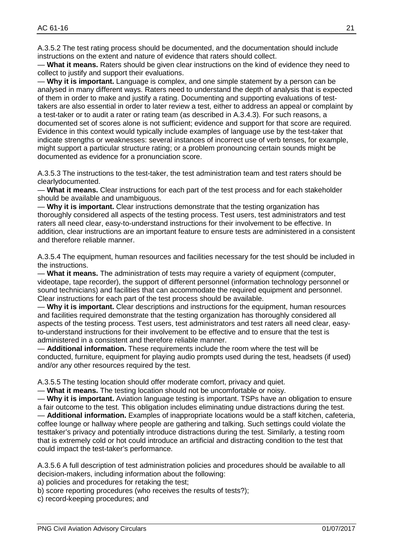A.3.5.2 The test rating process should be documented, and the documentation should include instructions on the extent and nature of evidence that raters should collect.

— **What it means.** Raters should be given clear instructions on the kind of evidence they need to collect to justify and support their evaluations.

— **Why it is important.** Language is complex, and one simple statement by a person can be analysed in many different ways. Raters need to understand the depth of analysis that is expected of them in order to make and justify a rating. Documenting and supporting evaluations of testtakers are also essential in order to later review a test, either to address an appeal or complaint by a test-taker or to audit a rater or rating team (as described in A.3.4.3). For such reasons, a documented set of scores alone is not sufficient; evidence and support for that score are required. Evidence in this context would typically include examples of language use by the test-taker that indicate strengths or weaknesses: several instances of incorrect use of verb tenses, for example, might support a particular structure rating; or a problem pronouncing certain sounds might be documented as evidence for a pronunciation score.

A.3.5.3 The instructions to the test-taker, the test administration team and test raters should be clearlydocumented.

— **What it means.** Clear instructions for each part of the test process and for each stakeholder should be available and unambiguous.

— **Why it is important.** Clear instructions demonstrate that the testing organization has thoroughly considered all aspects of the testing process. Test users, test administrators and test raters all need clear, easy-to-understand instructions for their involvement to be effective. In addition, clear instructions are an important feature to ensure tests are administered in a consistent and therefore reliable manner.

A.3.5.4 The equipment, human resources and facilities necessary for the test should be included in the instructions.

— **What it means.** The administration of tests may require a variety of equipment (computer, videotape, tape recorder), the support of different personnel (information technology personnel or sound technicians) and facilities that can accommodate the required equipment and personnel. Clear instructions for each part of the test process should be available.

— **Why it is important.** Clear descriptions and instructions for the equipment, human resources and facilities required demonstrate that the testing organization has thoroughly considered all aspects of the testing process. Test users, test administrators and test raters all need clear, easyto-understand instructions for their involvement to be effective and to ensure that the test is administered in a consistent and therefore reliable manner.

— **Additional information.** These requirements include the room where the test will be conducted, furniture, equipment for playing audio prompts used during the test, headsets (if used) and/or any other resources required by the test.

A.3.5.5 The testing location should offer moderate comfort, privacy and quiet.

— **What it means.** The testing location should not be uncomfortable or noisy.

— **Why it is important.** Aviation language testing is important. TSPs have an obligation to ensure a fair outcome to the test. This obligation includes eliminating undue distractions during the test. — **Additional information.** Examples of inappropriate locations would be a staff kitchen, cafeteria, coffee lounge or hallway where people are gathering and talking. Such settings could violate the testtaker's privacy and potentially introduce distractions during the test. Similarly, a testing room that is extremely cold or hot could introduce an artificial and distracting condition to the test that could impact the test-taker's performance.

A.3.5.6 A full description of test administration policies and procedures should be available to all decision-makers, including information about the following:

a) policies and procedures for retaking the test;

b) score reporting procedures (who receives the results of tests?);

c) record-keeping procedures; and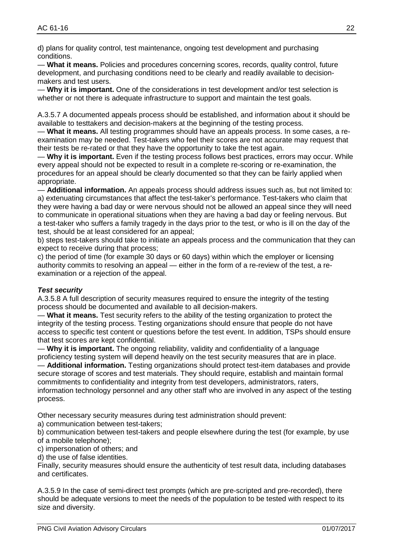d) plans for quality control, test maintenance, ongoing test development and purchasing conditions.

— **What it means.** Policies and procedures concerning scores, records, quality control, future development, and purchasing conditions need to be clearly and readily available to decisionmakers and test users.

— **Why it is important.** One of the considerations in test development and/or test selection is whether or not there is adequate infrastructure to support and maintain the test goals.

A.3.5.7 A documented appeals process should be established, and information about it should be available to testtakers and decision-makers at the beginning of the testing process.

— **What it means.** All testing programmes should have an appeals process. In some cases, a reexamination may be needed. Test-takers who feel their scores are not accurate may request that their tests be re-rated or that they have the opportunity to take the test again.

— **Why it is important.** Even if the testing process follows best practices, errors may occur. While every appeal should not be expected to result in a complete re-scoring or re-examination, the procedures for an appeal should be clearly documented so that they can be fairly applied when appropriate.

— **Additional information.** An appeals process should address issues such as, but not limited to: a) extenuating circumstances that affect the test-taker's performance. Test-takers who claim that they were having a bad day or were nervous should not be allowed an appeal since they will need to communicate in operational situations when they are having a bad day or feeling nervous. But a test-taker who suffers a family tragedy in the days prior to the test, or who is ill on the day of the test, should be at least considered for an appeal;

b) steps test-takers should take to initiate an appeals process and the communication that they can expect to receive during that process;

c) the period of time (for example 30 days or 60 days) within which the employer or licensing authority commits to resolving an appeal — either in the form of a re-review of the test, a reexamination or a rejection of the appeal.

#### *Test security*

A.3.5.8 A full description of security measures required to ensure the integrity of the testing process should be documented and available to all decision-makers.

— **What it means.** Test security refers to the ability of the testing organization to protect the integrity of the testing process. Testing organizations should ensure that people do not have access to specific test content or questions before the test event. In addition, TSPs should ensure that test scores are kept confidential.

— **Why it is important.** The ongoing reliability, validity and confidentiality of a language proficiency testing system will depend heavily on the test security measures that are in place. — **Additional information.** Testing organizations should protect test-item databases and provide secure storage of scores and test materials. They should require, establish and maintain formal commitments to confidentiality and integrity from test developers, administrators, raters, information technology personnel and any other staff who are involved in any aspect of the testing process.

Other necessary security measures during test administration should prevent:

a) communication between test-takers;

b) communication between test-takers and people elsewhere during the test (for example, by use of a mobile telephone);

- c) impersonation of others; and
- d) the use of false identities.

Finally, security measures should ensure the authenticity of test result data, including databases and certificates.

A.3.5.9 In the case of semi-direct test prompts (which are pre-scripted and pre-recorded), there should be adequate versions to meet the needs of the population to be tested with respect to its size and diversity.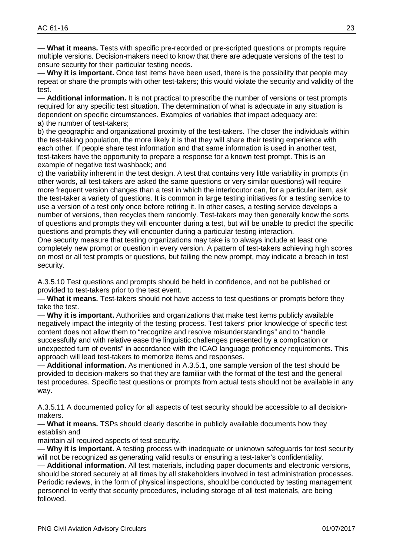— **What it means.** Tests with specific pre-recorded or pre-scripted questions or prompts require multiple versions. Decision-makers need to know that there are adequate versions of the test to ensure security for their particular testing needs.

— **Why it is important.** Once test items have been used, there is the possibility that people may repeat or share the prompts with other test-takers; this would violate the security and validity of the test.

— **Additional information.** It is not practical to prescribe the number of versions or test prompts required for any specific test situation. The determination of what is adequate in any situation is dependent on specific circumstances. Examples of variables that impact adequacy are: a) the number of test-takers;

b) the geographic and organizational proximity of the test-takers. The closer the individuals within the test-taking population, the more likely it is that they will share their testing experience with each other. If people share test information and that same information is used in another test, test-takers have the opportunity to prepare a response for a known test prompt. This is an example of negative test washback; and

c) the variability inherent in the test design. A test that contains very little variability in prompts (in other words, all test-takers are asked the same questions or very similar questions) will require more frequent version changes than a test in which the interlocutor can, for a particular item, ask the test-taker a variety of questions. It is common in large testing initiatives for a testing service to use a version of a test only once before retiring it. In other cases, a testing service develops a number of versions, then recycles them randomly. Test-takers may then generally know the sorts of questions and prompts they will encounter during a test, but will be unable to predict the specific questions and prompts they will encounter during a particular testing interaction.

One security measure that testing organizations may take is to always include at least one completely new prompt or question in every version. A pattern of test-takers achieving high scores on most or all test prompts or questions, but failing the new prompt, may indicate a breach in test security.

A.3.5.10 Test questions and prompts should be held in confidence, and not be published or provided to test-takers prior to the test event.

— **What it means.** Test-takers should not have access to test questions or prompts before they take the test.

— **Why it is important.** Authorities and organizations that make test items publicly available negatively impact the integrity of the testing process. Test takers' prior knowledge of specific test content does not allow them to "recognize and resolve misunderstandings" and to "handle successfully and with relative ease the linguistic challenges presented by a complication or unexpected turn of events" in accordance with the ICAO language proficiency requirements. This approach will lead test-takers to memorize items and responses.

— **Additional information.** As mentioned in A.3.5.1, one sample version of the test should be provided to decision-makers so that they are familiar with the format of the test and the general test procedures. Specific test questions or prompts from actual tests should not be available in any way.

A.3.5.11 A documented policy for all aspects of test security should be accessible to all decisionmakers.

— **What it means.** TSPs should clearly describe in publicly available documents how they establish and

maintain all required aspects of test security.

— **Why it is important.** A testing process with inadequate or unknown safeguards for test security will not be recognized as generating valid results or ensuring a test-taker's confidentiality.

— **Additional information.** All test materials, including paper documents and electronic versions, should be stored securely at all times by all stakeholders involved in test administration processes. Periodic reviews, in the form of physical inspections, should be conducted by testing management personnel to verify that security procedures, including storage of all test materials, are being followed.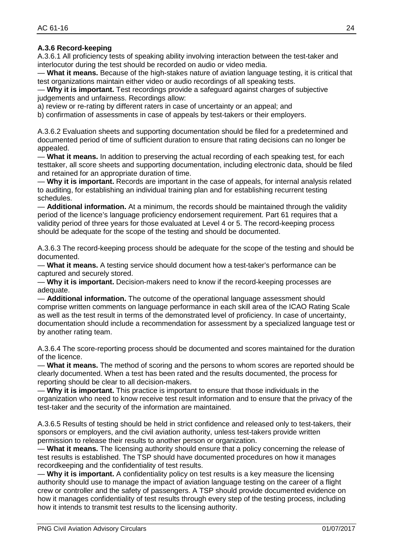## **A.3.6 Record-keeping**

A.3.6.1 All proficiency tests of speaking ability involving interaction between the test-taker and interlocutor during the test should be recorded on audio or video media.

— **What it means.** Because of the high-stakes nature of aviation language testing, it is critical that test organizations maintain either video or audio recordings of all speaking tests.

— **Why it is important.** Test recordings provide a safeguard against charges of subjective judgements and unfairness. Recordings allow:

a) review or re-rating by different raters in case of uncertainty or an appeal; and

b) confirmation of assessments in case of appeals by test-takers or their employers.

A.3.6.2 Evaluation sheets and supporting documentation should be filed for a predetermined and documented period of time of sufficient duration to ensure that rating decisions can no longer be appealed.

— **What it means.** In addition to preserving the actual recording of each speaking test, for each testtaker, all score sheets and supporting documentation, including electronic data, should be filed and retained for an appropriate duration of time.

— **Why it is important.** Records are important in the case of appeals, for internal analysis related to auditing, for establishing an individual training plan and for establishing recurrent testing schedules.

— **Additional information.** At a minimum, the records should be maintained through the validity period of the licence's language proficiency endorsement requirement. Part 61 requires that a validity period of three years for those evaluated at Level 4 or 5. The record-keeping process should be adequate for the scope of the testing and should be documented.

A.3.6.3 The record-keeping process should be adequate for the scope of the testing and should be documented.

— **What it means.** A testing service should document how a test-taker's performance can be captured and securely stored.

— **Why it is important.** Decision-makers need to know if the record-keeping processes are adequate.

— **Additional information.** The outcome of the operational language assessment should comprise written comments on language performance in each skill area of the ICAO Rating Scale as well as the test result in terms of the demonstrated level of proficiency. In case of uncertainty, documentation should include a recommendation for assessment by a specialized language test or by another rating team.

A.3.6.4 The score-reporting process should be documented and scores maintained for the duration of the licence.

— **What it means.** The method of scoring and the persons to whom scores are reported should be clearly documented. When a test has been rated and the results documented, the process for reporting should be clear to all decision-makers.

— **Why it is important.** This practice is important to ensure that those individuals in the organization who need to know receive test result information and to ensure that the privacy of the test-taker and the security of the information are maintained.

A.3.6.5 Results of testing should be held in strict confidence and released only to test-takers, their sponsors or employers, and the civil aviation authority, unless test-takers provide written permission to release their results to another person or organization.

— **What it means.** The licensing authority should ensure that a policy concerning the release of test results is established. The TSP should have documented procedures on how it manages recordkeeping and the confidentiality of test results.

— **Why it is important.** A confidentiality policy on test results is a key measure the licensing authority should use to manage the impact of aviation language testing on the career of a flight crew or controller and the safety of passengers. A TSP should provide documented evidence on how it manages confidentiality of test results through every step of the testing process, including how it intends to transmit test results to the licensing authority.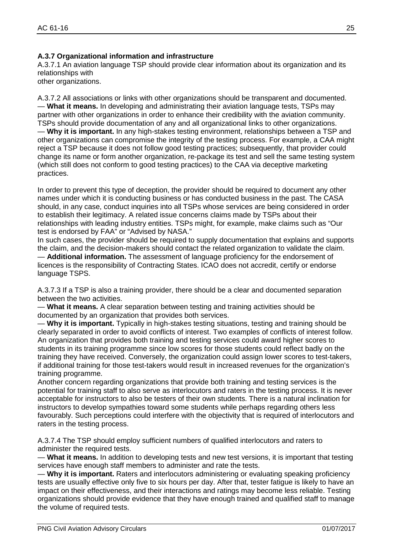## **A.3.7 Organizational information and infrastructure**

A.3.7.1 An aviation language TSP should provide clear information about its organization and its relationships with

other organizations.

A.3.7.2 All associations or links with other organizations should be transparent and documented. — **What it means.** In developing and administrating their aviation language tests, TSPs may partner with other organizations in order to enhance their credibility with the aviation community. TSPs should provide documentation of any and all organizational links to other organizations. — **Why it is important.** In any high-stakes testing environment, relationships between a TSP and other organizations can compromise the integrity of the testing process. For example, a CAA might reject a TSP because it does not follow good testing practices; subsequently, that provider could change its name or form another organization, re-package its test and sell the same testing system (which still does not conform to good testing practices) to the CAA via deceptive marketing practices.

In order to prevent this type of deception, the provider should be required to document any other names under which it is conducting business or has conducted business in the past. The CASA should, in any case, conduct inquiries into all TSPs whose services are being considered in order to establish their legitimacy. A related issue concerns claims made by TSPs about their relationships with leading industry entities. TSPs might, for example, make claims such as "Our test is endorsed by FAA" or "Advised by NASA."

In such cases, the provider should be required to supply documentation that explains and supports the claim, and the decision-makers should contact the related organization to validate the claim. — **Additional information.** The assessment of language proficiency for the endorsement of licences is the responsibility of Contracting States. ICAO does not accredit, certify or endorse language TSPS.

A.3.7.3 If a TSP is also a training provider, there should be a clear and documented separation between the two activities.

— **What it means.** A clear separation between testing and training activities should be documented by an organization that provides both services.

— **Why it is important.** Typically in high-stakes testing situations, testing and training should be clearly separated in order to avoid conflicts of interest. Two examples of conflicts of interest follow. An organization that provides both training and testing services could award higher scores to students in its training programme since low scores for those students could reflect badly on the training they have received. Conversely, the organization could assign lower scores to test-takers, if additional training for those test-takers would result in increased revenues for the organization's training programme.

Another concern regarding organizations that provide both training and testing services is the potential for training staff to also serve as interlocutors and raters in the testing process. It is never acceptable for instructors to also be testers of their own students. There is a natural inclination for instructors to develop sympathies toward some students while perhaps regarding others less favourably. Such perceptions could interfere with the objectivity that is required of interlocutors and raters in the testing process.

A.3.7.4 The TSP should employ sufficient numbers of qualified interlocutors and raters to administer the required tests.

— **What it means.** In addition to developing tests and new test versions, it is important that testing services have enough staff members to administer and rate the tests.

— **Why it is important.** Raters and interlocutors administering or evaluating speaking proficiency tests are usually effective only five to six hours per day. After that, tester fatigue is likely to have an impact on their effectiveness, and their interactions and ratings may become less reliable. Testing organizations should provide evidence that they have enough trained and qualified staff to manage the volume of required tests.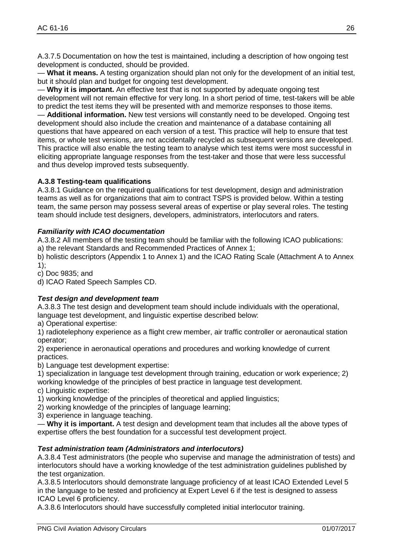A.3.7.5 Documentation on how the test is maintained, including a description of how ongoing test development is conducted, should be provided.

— **What it means.** A testing organization should plan not only for the development of an initial test, but it should plan and budget for ongoing test development.

— **Why it is important.** An effective test that is not supported by adequate ongoing test development will not remain effective for very long. In a short period of time, test-takers will be able to predict the test items they will be presented with and memorize responses to those items.

— **Additional information.** New test versions will constantly need to be developed. Ongoing test development should also include the creation and maintenance of a database containing all questions that have appeared on each version of a test. This practice will help to ensure that test items, or whole test versions, are not accidentally recycled as subsequent versions are developed. This practice will also enable the testing team to analyse which test items were most successful in eliciting appropriate language responses from the test-taker and those that were less successful and thus develop improved tests subsequently.

## **A.3.8 Testing-team qualifications**

A.3.8.1 Guidance on the required qualifications for test development, design and administration teams as well as for organizations that aim to contract TSPS is provided below. Within a testing team, the same person may possess several areas of expertise or play several roles. The testing team should include test designers, developers, administrators, interlocutors and raters.

#### *Familiarity with ICAO documentation*

A.3.8.2 All members of the testing team should be familiar with the following ICAO publications: a) the relevant Standards and Recommended Practices of Annex 1;

b) holistic descriptors (Appendix 1 to Annex 1) and the ICAO Rating Scale (Attachment A to Annex 1);

c) Doc 9835; and

d) ICAO Rated Speech Samples CD.

#### *Test design and development team*

A.3.8.3 The test design and development team should include individuals with the operational, language test development, and linguistic expertise described below:

a) Operational expertise:

1) radiotelephony experience as a flight crew member, air traffic controller or aeronautical station operator;

2) experience in aeronautical operations and procedures and working knowledge of current practices.

b) Language test development expertise:

1) specialization in language test development through training, education or work experience; 2) working knowledge of the principles of best practice in language test development.

c) Linguistic expertise:

1) working knowledge of the principles of theoretical and applied linguistics;

2) working knowledge of the principles of language learning;

3) experience in language teaching.

— **Why it is important.** A test design and development team that includes all the above types of expertise offers the best foundation for a successful test development project.

#### *Test administration team (Administrators and interlocutors)*

A.3.8.4 Test administrators (the people who supervise and manage the administration of tests) and interlocutors should have a working knowledge of the test administration guidelines published by the test organization.

A.3.8.5 Interlocutors should demonstrate language proficiency of at least ICAO Extended Level 5 in the language to be tested and proficiency at Expert Level 6 if the test is designed to assess ICAO Level 6 proficiency.

A.3.8.6 Interlocutors should have successfully completed initial interlocutor training.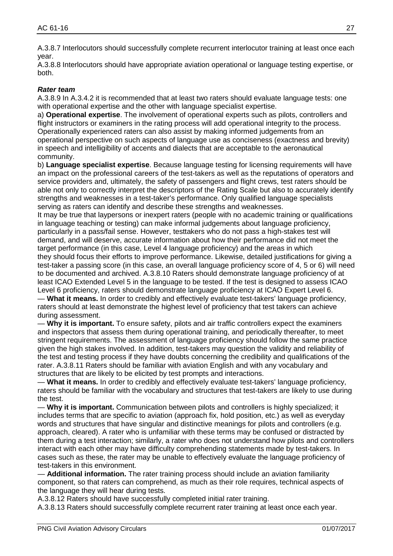A.3.8.7 Interlocutors should successfully complete recurrent interlocutor training at least once each year.

A.3.8.8 Interlocutors should have appropriate aviation operational or language testing expertise, or both.

#### *Rater team*

A.3.8.9 In A.3.4.2 it is recommended that at least two raters should evaluate language tests: one with operational expertise and the other with language specialist expertise.

a) **Operational expertise**. The involvement of operational experts such as pilots, controllers and flight instructors or examiners in the rating process will add operational integrity to the process. Operationally experienced raters can also assist by making informed judgements from an operational perspective on such aspects of language use as conciseness (exactness and brevity) in speech and intelligibility of accents and dialects that are acceptable to the aeronautical community.

b) **Language specialist expertise**. Because language testing for licensing requirements will have an impact on the professional careers of the test-takers as well as the reputations of operators and service providers and, ultimately, the safety of passengers and flight crews, test raters should be able not only to correctly interpret the descriptors of the Rating Scale but also to accurately identify strengths and weaknesses in a test-taker's performance. Only qualified language specialists serving as raters can identify and describe these strengths and weaknesses.

It may be true that laypersons or inexpert raters (people with no academic training or qualifications in language teaching or testing) can make informal judgements about language proficiency, particularly in a pass/fail sense. However, testtakers who do not pass a high-stakes test will demand, and will deserve, accurate information about how their performance did not meet the target performance (in this case, Level 4 language proficiency) and the areas in which they should focus their efforts to improve performance. Likewise, detailed justifications for giving a test-taker a passing score (in this case, an overall language proficiency score of 4, 5 or 6) will need to be documented and archived. A.3.8.10 Raters should demonstrate language proficiency of at least ICAO Extended Level 5 in the language to be tested. If the test is designed to assess ICAO Level 6 proficiency, raters should demonstrate language proficiency at ICAO Expert Level 6. — **What it means.** In order to credibly and effectively evaluate test-takers' language proficiency, raters should at least demonstrate the highest level of proficiency that test takers can achieve during assessment.

— **Why it is important.** To ensure safety, pilots and air traffic controllers expect the examiners and inspectors that assess them during operational training, and periodically thereafter, to meet stringent requirements. The assessment of language proficiency should follow the same practice given the high stakes involved. In addition, test-takers may question the validity and reliability of the test and testing process if they have doubts concerning the credibility and qualifications of the rater. A.3.8.11 Raters should be familiar with aviation English and with any vocabulary and structures that are likely to be elicited by test prompts and interactions.

— **What it means.** In order to credibly and effectively evaluate test-takers' language proficiency, raters should be familiar with the vocabulary and structures that test-takers are likely to use during the test.

— **Why it is important.** Communication between pilots and controllers is highly specialized; it includes terms that are specific to aviation (approach fix, hold position, etc.) as well as everyday words and structures that have singular and distinctive meanings for pilots and controllers (e.g. approach, cleared). A rater who is unfamiliar with these terms may be confused or distracted by them during a test interaction; similarly, a rater who does not understand how pilots and controllers interact with each other may have difficulty comprehending statements made by test-takers. In cases such as these, the rater may be unable to effectively evaluate the language proficiency of test-takers in this environment.

— **Additional information.** The rater training process should include an aviation familiarity component, so that raters can comprehend, as much as their role requires, technical aspects of the language they will hear during tests.

A.3.8.12 Raters should have successfully completed initial rater training.

A.3.8.13 Raters should successfully complete recurrent rater training at least once each year.